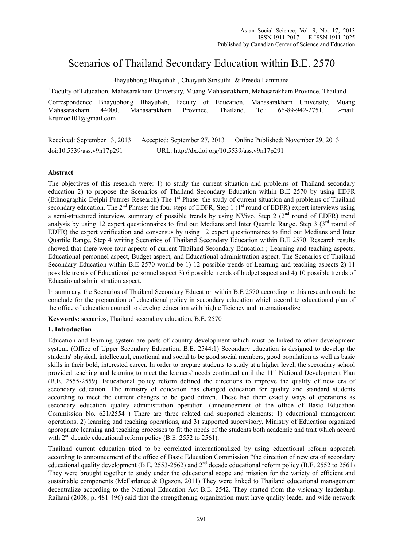# Scenarios of Thailand Secondary Education within B.E. 2570

Bhayubhong Bhayuhah<sup>1</sup>, Chaiyuth Sirisuthi<sup>1</sup> & Preeda Lammana<sup>1</sup>

<sup>1</sup> Faculty of Education, Mahasarakham University, Muang Mahasarakham, Mahasarakham Province, Thailand

Correspondence Bhayubhong Bhayuhah, Faculty of Education, Mahasarakham University, Muang Mahasarakham 44000, Mahasarakham Province, Thailand. Tel: 66-89-942-2751. E-mail: Krumoo101@gmail.com

Received: September 13, 2013 Accepted: September 27, 2013 Online Published: November 29, 2013 doi:10.5539/ass.v9n17p291 URL: http://dx.doi.org/10.5539/ass.v9n17p291

# **Abstract**

The objectives of this research were: 1) to study the current situation and problems of Thailand secondary education 2) to propose the Scenarios of Thailand Secondary Education within B.E 2570 by using EDFR (Ethnographic Delphi Futures Research) The 1<sup>st</sup> Phase: the study of current situation and problems of Thailand secondary education. The  $2<sup>nd</sup>$  Phrase: the four steps of EDFR; Step 1 ( $1<sup>st</sup>$  round of EDFR) expert interviews using a semi-structured interview, summary of possible trends by using NVivo. Step 2 ( $2<sup>nd</sup>$  round of EDFR) trend analysis by using 12 expert questionnaires to find out Medians and Inter Quartile Range. Step 3 ( $3<sup>rd</sup>$  round of EDFR) the expert verification and consensus by using 12 expert questionnaires to find out Medians and Inter Quartile Range. Step 4 writing Scenarios of Thailand Secondary Education within B.E 2570. Research results showed that there were four aspects of current Thailand Secondary Education ; Learning and teaching aspects, Educational personnel aspect, Budget aspect, and Educational administration aspect. The Scenarios of Thailand Secondary Education within B.E 2570 would be 1) 12 possible trends of Learning and teaching aspects 2) 11 possible trends of Educational personnel aspect 3) 6 possible trends of budget aspect and 4) 10 possible trends of Educational administration aspect.

In summary, the Scenarios of Thailand Secondary Education within B.E 2570 according to this research could be conclude for the preparation of educational policy in secondary education which accord to educational plan of the office of education council to develop education with high efficiency and internationalize.

**Keywords:** scenarios, Thailand secondary education, B.E. 2570

# **1. Introduction**

Education and learning system are parts of country development which must be linked to other development system. (Office of Upper Secondary Education. B.E. 2544:1) Secondary education is designed to develop the students' physical, intellectual, emotional and social to be good social members, good population as well as basic skills in their bold, interested career. In order to prepare students to study at a higher level, the secondary school provided teaching and learning to meet the learners' needs continued until the 11<sup>th</sup> National Development Plan (B.E. 2555-2559). Educational policy reform defined the directions to improve the quality of new era of secondary education. The ministry of education has changed education for quality and standard students according to meet the current changes to be good citizen. These had their exactly ways of operations as secondary education quality administration operation. (announcement of the office of Basic Education Commission No. 621/2554 ) There are three related and supported elements; 1) educational management operations, 2) learning and teaching operations, and 3) supported supervisory. Ministry of Education organized appropriate learning and teaching processes to fit the needs of the students both academic and trait which accord with 2<sup>nd</sup> decade educational reform policy (B.E. 2552 to 2561).

Thailand current education tried to be correlated internationalized by using educational reform approach according to announcement of the office of Basic Education Commission "the direction of new era of secondary educational quality development (B.E. 2553-2562) and  $2<sup>nd</sup>$  decade educational reform policy (B.E. 2552 to 2561). They were brought together to study under the educational scope and mission for the variety of efficient and sustainable components (McFarlance & Ogazon, 2011) They were linked to Thailand educational management decentralize according to the National Education Act B.E. 2542. They started from the visionary leadership. Raihani (2008, p. 481-496) said that the strengthening organization must have quality leader and wide network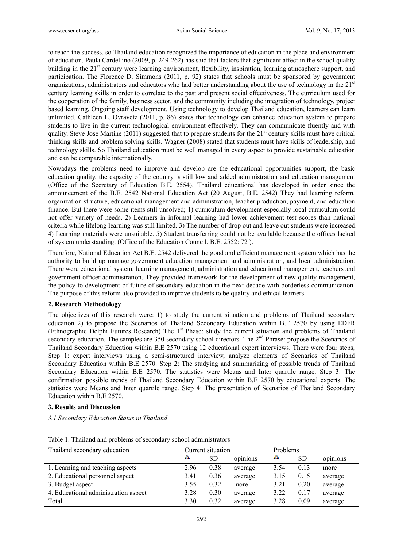to reach the success, so Thailand education recognized the importance of education in the place and environment of education. Paula Cardellino (2009, p. 249-262) has said that factors that significant affect in the school quality building in the 21<sup>st</sup> century were learning environment, flexibility, inspiration, learning atmosphere support, and participation. The Florence D. Simmons (2011, p. 92) states that schools must be sponsored by government organizations, administrators and educators who had better understanding about the use of technology in the 21<sup>st</sup> century learning skills in order to correlate to the past and present social effectiveness. The curriculum used for the cooperation of the family, business sector, and the community including the integration of technology, project based learning, Ongoing staff development. Using technology to develop Thailand education, learners can learn unlimited. Cathleen L. Ovravetz (2011, p. 86) states that technology can enhance education system to prepare students to live in the current technological environment effectively. They can communicate fluently and with quality. Steve Jose Martine (2011) suggested that to prepare students for the  $21<sup>st</sup>$  century skills must have critical thinking skills and problem solving skills. Wagner (2008) stated that students must have skills of leadership, and technology skills. So Thailand education must be well managed in every aspect to provide sustainable education and can be comparable internationally.

Nowadays the problems need to improve and develop are the educational opportunities support, the basic education quality, the capacity of the country is still low and added administration and education management (Office of the Secretary of Education B.E. 2554). Thailand educational has developed in order since the announcement of the B.E. 2542 National Education Act (20 August, B.E. 2542) They had learning reform, organization structure, educational management and administration, teacher production, payment, and education finance. But there were some items still unsolved; 1) curriculum development especially local curriculum could not offer variety of needs. 2) Learners in informal learning had lower achievement test scores than national criteria while lifelong learning was still limited. 3) The number of drop out and leave out students were increased. 4) Learning materials were unsuitable. 5) Student transferring could not be available because the offices lacked of system understanding. (Office of the Education Council. B.E. 2552: 72 ).

Therefore, National Education Act B.E. 2542 delivered the good and efficient management system which has the authority to build up manage government education management and administration, and local administration. There were educational system, learning management, administration and educational management, teachers and government officer administration. They provided framework for the development of new quality management, the policy to development of future of secondary education in the next decade with borderless communication. The purpose of this reform also provided to improve students to be quality and ethical learners.

#### **2. Research Methodology**

The objectives of this research were: 1) to study the current situation and problems of Thailand secondary education 2) to propose the Scenarios of Thailand Secondary Education within B.E 2570 by using EDFR (Ethnographic Delphi Futures Research) The 1<sup>st</sup> Phase: study the current situation and problems of Thailand secondary education. The samples are 350 secondary school directors. The 2<sup>nd</sup> Phrase: propose the Scenarios of Thailand Secondary Education within B.E 2570 using 12 educational expert interviews. There were four steps; Step 1: expert interviews using a semi-structured interview, analyze elements of Scenarios of Thailand Secondary Education within B.E 2570. Step 2: The studying and summarizing of possible trends of Thailand Secondary Education within B.E 2570. The statistics were Means and Inter quartile range. Step 3: The confirmation possible trends of Thailand Secondary Education within B.E 2570 by educational experts. The statistics were Means and Inter quartile range. Step 4: The presentation of Scenarios of Thailand Secondary Education within B.E 2570.

## **3. Results and Discussion**

*3.1 Secondary Education Status in Thailand* 

| Thailand secondary education         | Current situation |      | Problems |      |           |          |
|--------------------------------------|-------------------|------|----------|------|-----------|----------|
|                                      | ×                 | SD   | opinions | ж    | <b>SD</b> | opinions |
| 1. Learning and teaching aspects     | 2.96              | 0.38 | average  | 3.54 | 0.13      | more     |
| 2. Educational personnel aspect      | 3.41              | 0.36 | average  | 3.15 | 0.15      | average  |
| 3. Budget aspect                     | 3.55              | 0.32 | more     | 3.21 | 0.20      | average  |
| 4. Educational administration aspect | 3.28              | 0.30 | average  | 3.22 | 0.17      | average  |
| Total                                | 3.30              | 0.32 | average  | 3.28 | 0.09      | average  |

Table 1. Thailand and problems of secondary school administrators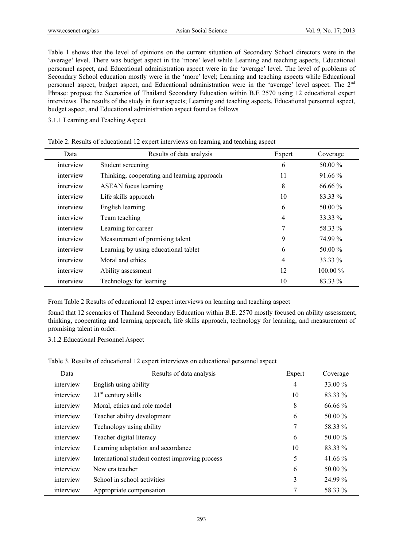Table 1 shows that the level of opinions on the current situation of Secondary School directors were in the 'average' level. There was budget aspect in the 'more' level while Learning and teaching aspects, Educational personnel aspect, and Educational administration aspect were in the 'average' level. The level of problems of Secondary School education mostly were in the 'more' level; Learning and teaching aspects while Educational personnel aspect, budget aspect, and Educational administration were in the 'average' level aspect. The 2<sup>nd</sup> Phrase: propose the Scenarios of Thailand Secondary Education within B.E 2570 using 12 educational expert interviews. The results of the study in four aspects; Learning and teaching aspects, Educational personnel aspect, budget aspect, and Educational administration aspect found as follows

# 3.1.1 Learning and Teaching Aspect

| Data      | Results of data analysis                    | Expert         | Coverage |
|-----------|---------------------------------------------|----------------|----------|
| interview | Student screening                           | 6              | 50.00 %  |
| interview | Thinking, cooperating and learning approach | 11             | 91.66 %  |
| interview | <b>ASEAN</b> focus learning                 | 8              | 66.66 %  |
| interview | Life skills approach                        | 10             | 83.33 %  |
| interview | English learning                            | 6              | 50.00 %  |
| interview | Team teaching                               | 4              | 33.33 %  |
| interview | Learning for career                         | 7              | 58.33 %  |
| interview | Measurement of promising talent             | 9              | 74.99 %  |
| interview | Learning by using educational tablet        | 6              | 50.00 %  |
| interview | Moral and ethics                            | $\overline{4}$ | 33.33 %  |
| interview | Ability assessment                          | 12             | 100.00 % |
| interview | Technology for learning                     | 10             | 83.33 %  |

| Table 2. Results of educational 12 expert interviews on learning and teaching aspect |  |  |
|--------------------------------------------------------------------------------------|--|--|
|--------------------------------------------------------------------------------------|--|--|

From Table 2 Results of educational 12 expert interviews on learning and teaching aspect

found that 12 scenarios of Thailand Secondary Education within B.E. 2570 mostly focused on ability assessment, thinking, cooperating and learning approach, life skills approach, technology for learning, and measurement of promising talent in order.

3.1.2 Educational Personnel Aspect

Table 3. Results of educational 12 expert interviews on educational personnel aspect

| Data      | Results of data analysis                        | Expert         | Coverage  |
|-----------|-------------------------------------------------|----------------|-----------|
| interview | English using ability                           | $\overline{4}$ | 33.00 %   |
| interview | $21st$ century skills                           | 10             | 83.33 %   |
| interview | Moral, ethics and role model                    | 8              | $66.66\%$ |
| interview | Teacher ability development                     | 6              | 50.00 %   |
| interview | Technology using ability                        | 7              | 58.33 %   |
| interview | Teacher digital literacy                        | 6              | 50.00 %   |
| interview | Learning adaptation and accordance              | 10             | 83.33 %   |
| interview | International student contest improving process | 5              | 41.66 $%$ |
| interview | New era teacher                                 | 6              | 50.00 %   |
| interview | School in school activities                     | 3              | 24.99 %   |
| interview | Appropriate compensation                        | 7              | 58.33 %   |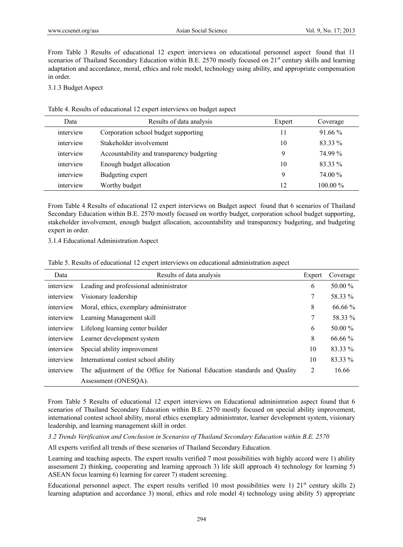From Table 3 Results of educational 12 expert interviews on educational personnel aspect found that 11 scenarios of Thailand Secondary Education within B.E. 2570 mostly focused on 21<sup>st</sup> century skills and learning adaptation and accordance, moral, ethics and role model, technology using ability, and appropriate compensation in order.

3.1.3 Budget Aspect

Table 4. Results of educational 12 expert interviews on budget aspect

| Data      | Results of data analysis                  | Expert | Coverage   |
|-----------|-------------------------------------------|--------|------------|
| interview | Corporation school budget supporting      | 11     | $91.66\%$  |
| interview | Stakeholder involvement                   | 10     | 83.33 %    |
| interview | Accountability and transparency budgeting | 9      | 74.99%     |
| interview | Enough budget allocation                  | 10     | 83.33 %    |
| interview | Budgeting expert                          | Q      | 74.00 %    |
| interview | Worthy budget                             | 12     | $100.00\%$ |

From Table 4 Results of educational 12 expert interviews on Budget aspect found that 6 scenarios of Thailand Secondary Education within B.E. 2570 mostly focused on worthy budget, corporation school budget supporting, stakeholder involvement, enough budget allocation, accountability and transparency budgeting, and budgeting expert in order.

3.1.4 Educational Administration Aspect

| Table 5. Results of educational 12 expert interviews on educational administration aspect |  |  |  |  |  |  |  |  |
|-------------------------------------------------------------------------------------------|--|--|--|--|--|--|--|--|
|-------------------------------------------------------------------------------------------|--|--|--|--|--|--|--|--|

| Data      | Results of data analysis                                                  | Expert | Coverage |
|-----------|---------------------------------------------------------------------------|--------|----------|
| interview | Leading and professional administrator                                    | 6      | 50.00 %  |
| interview | Visionary leadership                                                      |        | 58.33 %  |
| interview | Moral, ethics, exemplary administrator                                    | 8      | 66.66 %  |
| interview | Learning Management skill                                                 | 7      | 58.33 %  |
| interview | Lifelong learning center builder                                          | 6      | 50.00 %  |
| interview | Learner development system                                                | 8      | 66.66 %  |
| interview | Special ability improvement                                               | 10     | 83.33 %  |
| interview | International contest school ability                                      | 10     | 83.33 %  |
| interview | The adjustment of the Office for National Education standards and Quality | 2      | 16.66    |
|           | Assessment (ONESQA).                                                      |        |          |

From Table 5 Results of educational 12 expert interviews on Educational administration aspect found that 6 scenarios of Thailand Secondary Education within B.E. 2570 mostly focused on special ability improvement, international contest school ability, moral ethics exemplary administrator, learner development system, visionary leadership, and learning management skill in order.

*3.2 Trends Verification and Conclusion in Scenarios of Thailand Secondary Education within B.E. 2570* 

All experts verified all trends of these scenarios of Thailand Secondary Education.

Learning and teaching aspects. The expert results verified 7 most possibilities with highly accord were 1) ability assessment 2) thinking, cooperating and learning approach 3) life skill approach 4) technology for learning 5) ASEAN focus learning 6) learning for career 7) student screening.

Educational personnel aspect. The expert results verified 10 most possibilities were 1) 21<sup>st</sup> century skills 2) learning adaptation and accordance 3) moral, ethics and role model 4) technology using ability 5) appropriate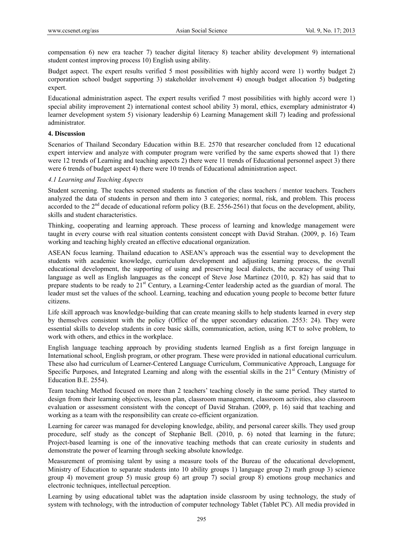compensation 6) new era teacher 7) teacher digital literacy 8) teacher ability development 9) international student contest improving process 10) English using ability.

Budget aspect. The expert results verified 5 most possibilities with highly accord were 1) worthy budget 2) corporation school budget supporting 3) stakeholder involvement 4) enough budget allocation 5) budgeting expert.

Educational administration aspect. The expert results verified 7 most possibilities with highly accord were 1) special ability improvement 2) international contest school ability 3) moral, ethics, exemplary administrator 4) learner development system 5) visionary leadership 6) Learning Management skill 7) leading and professional administrator.

## **4. Discussion**

Scenarios of Thailand Secondary Education within B.E. 2570 that researcher concluded from 12 educational expert interview and analyze with computer program were verified by the same experts showed that 1) there were 12 trends of Learning and teaching aspects 2) there were 11 trends of Educational personnel aspect 3) there were 6 trends of budget aspect 4) there were 10 trends of Educational administration aspect.

#### *4.1 Learning and Teaching Aspects*

Student screening. The teaches screened students as function of the class teachers / mentor teachers. Teachers analyzed the data of students in person and them into 3 categories; normal, risk, and problem. This process accorded to the  $2<sup>nd</sup>$  decade of educational reform policy (B.E. 2556-2561) that focus on the development, ability, skills and student characteristics.

Thinking, cooperating and learning approach. These process of learning and knowledge management were taught in every course with real situation contents consistent concept with David Strahan. (2009, p. 16) Team working and teaching highly created an effective educational organization.

ASEAN focus learning. Thailand education to ASEAN's approach was the essential way to development the students with academic knowledge, curriculum development and adjusting learning process, the overall educational development, the supporting of using and preserving local dialects, the accuracy of using Thai language as well as English languages as the concept of Steve Jose Martinez (2010, p. 82) has said that to prepare students to be ready to  $21<sup>st</sup>$  Century, a Learning-Center leadership acted as the guardian of moral. The leader must set the values of the school. Learning, teaching and education young people to become better future citizens.

Life skill approach was knowledge-building that can create meaning skills to help students learned in every step by themselves consistent with the policy (Office of the upper secondary education. 2553: 24). They were essential skills to develop students in core basic skills, communication, action, using ICT to solve problem, to work with others, and ethics in the workplace.

English language teaching approach by providing students learned English as a first foreign language in International school, English program, or other program. These were provided in national educational curriculum. These also had curriculum of Learner-Centered Language Curriculum, Communicative Approach, Language for Specific Purposes, and Integrated Learning and along with the essential skills in the  $21<sup>st</sup>$  Century (Ministry of Education B.E. 2554).

Team teaching Method focused on more than 2 teachers' teaching closely in the same period. They started to design from their learning objectives, lesson plan, classroom management, classroom activities, also classroom evaluation or assessment consistent with the concept of David Strahan. (2009, p. 16) said that teaching and working as a team with the responsibility can create co-efficient organization.

Learning for career was managed for developing knowledge, ability, and personal career skills. They used group procedure, self study as the concept of Stephanie Bell. (2010, p. 6) noted that learning in the future; Project-based learning is one of the innovative teaching methods that can create curiosity in students and demonstrate the power of learning through seeking absolute knowledge.

Measurement of promising talent by using a measure tools of the Bureau of the educational development, Ministry of Education to separate students into 10 ability groups 1) language group 2) math group 3) science group 4) movement group 5) music group 6) art group 7) social group 8) emotions group mechanics and electronic techniques, intellectual perception.

Learning by using educational tablet was the adaptation inside classroom by using technology, the study of system with technology, with the introduction of computer technology Tablet (Tablet PC). All media provided in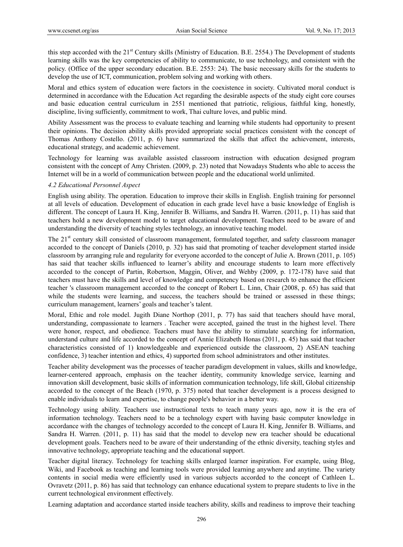this step accorded with the  $21<sup>st</sup>$  Century skills (Ministry of Education. B.E. 2554.) The Development of students learning skills was the key competencies of ability to communicate, to use technology, and consistent with the policy. (Office of the upper secondary education. B.E. 2553: 24). The basic necessary skills for the students to develop the use of ICT, communication, problem solving and working with others.

Moral and ethics system of education were factors in the coexistence in society. Cultivated moral conduct is determined in accordance with the Education Act regarding the desirable aspects of the study eight core courses and basic education central curriculum in 2551 mentioned that patriotic, religious, faithful king, honestly, discipline, living sufficiently, commitment to work, Thai culture loves, and public mind.

Ability Assessment was the process to evaluate teaching and learning while students had opportunity to present their opinions. The decision ability skills provided appropriate social practices consistent with the concept of Thomas Anthony Costello. (2011, p. 6) have summarized the skills that affect the achievement, interests, educational strategy, and academic achievement.

Technology for learning was available assisted classroom instruction with education designed program consistent with the concept of Amy Christen. (2009, p. 23) noted that Nowadays Students who able to access the Internet will be in a world of communication between people and the educational world unlimited.

#### *4.2 Educational Personnel Aspect*

English using ability. The operation. Education to improve their skills in English. English training for personnel at all levels of education. Development of education in each grade level have a basic knowledge of English is different. The concept of Laura H. King, Jennifer B. Williams, and Sandra H. Warren. (2011, p. 11) has said that teachers hold a new development model to target educational development. Teachers need to be aware of and understanding the diversity of teaching styles technology, an innovative teaching model.

The 21<sup>st</sup> century skill consisted of classroom management, formulated together, and safety classroom manager accorded to the concept of Daniels (2010, p. 32) has said that promoting of teacher development started inside classroom by arranging rule and regularity for everyone accorded to the concept of Julie A. Brown (2011, p. 105) has said that teacher skills influenced to learner's ability and encourage students to learn more effectively accorded to the concept of Partin, Robertson, Maggin, Oliver, and Wehby (2009, p. 172-178) have said that teachers must have the skills and level of knowledge and competency based on research to enhance the efficient teacher 's classroom management accorded to the concept of Robert L. Linn, Chair (2008, p. 65) has said that while the students were learning, and success, the teachers should be trained or assessed in these things; curriculum management, learners' goals and teacher's talent.

Moral, Ethic and role model. Jugith Diane Northop (2011, p. 77) has said that teachers should have moral, understanding, compassionate to learners . Teacher were accepted, gained the trust in the highest level. There were honor, respect, and obedience. Teachers must have the ability to stimulate searching for information, understand culture and life accorded to the concept of Annie Elizabeth Honas (2011, p. 45) has said that teacher characteristics consisted of 1) knowledgeable and experienced outside the classroom, 2) ASEAN teaching confidence, 3) teacher intention and ethics, 4) supported from school administrators and other institutes.

Teacher ability development was the processes of teacher paradigm development in values, skills and knowledge, learner-centered approach, emphasis on the teacher identity, community knowledge service, learning and innovation skill development, basic skills of information communication technology, life skill, Global citizenship accorded to the concept of the Beach (1970, p. 375) noted that teacher development is a process designed to enable individuals to learn and expertise, to change people's behavior in a better way.

Technology using ability. Teachers use instructional texts to teach many years ago, now it is the era of information technology. Teachers need to be a technology expert with having basic computer knowledge in accordance with the changes of technology accorded to the concept of Laura H. King, Jennifer B. Williams, and Sandra H. Warren. (2011, p. 11) has said that the model to develop new era teacher should be educational development goals. Teachers need to be aware of their understanding of the ethnic diversity, teaching styles and innovative technology, appropriate teaching and the educational support.

Teacher digital literacy. Technology for teaching skills enlarged learner inspiration. For example, using Blog, Wiki, and Facebook as teaching and learning tools were provided learning anywhere and anytime. The variety contents in social media were efficiently used in various subjects accorded to the concept of Cathleen L. Ovravetz (2011, p. 86) has said that technology can enhance educational system to prepare students to live in the current technological environment effectively.

Learning adaptation and accordance started inside teachers ability, skills and readiness to improve their teaching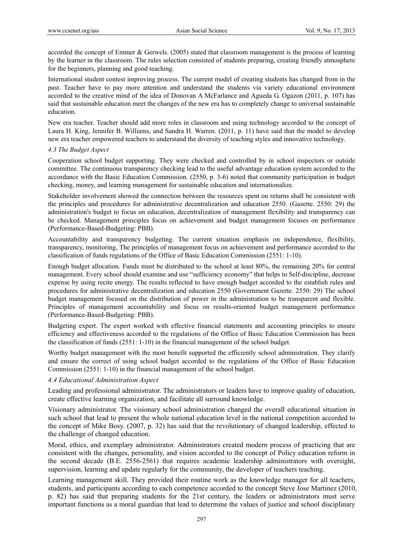accorded the concept of Emmer & Gerwels. (2005) stated that classroom management is the process of learning by the learner in the classroom. The rules selection consisted of students preparing, creating friendly atmosphere for the beginners, planning and good teaching.

International student contest improving process. The current model of creating students has changed from in the past. Teacher have to pay more attention and understand the students via variety educational environment accorded to the creative mind of the idea of Donovan A McFarlance and Agueda G. Ogazon (2011, p. 107) has said that sustainable education meet the changes of the new era has to completely change to universal sustainable education.

New era teacher. Teacher should add more roles in classroom and using technology accorded to the concept of Laura H. King, Jennifer B. Williams, and Sandra H. Warren. (2011, p. 11) have said that the model to develop new era teacher empowered teachers to understand the diversity of teaching styles and innovative technology.

# *4.3 The Budget Aspect*

Cooperation school budget supporting. They were checked and controlled by in school inspectors or outside committee. The continuous transparency checking lead to the useful advantage education system accorded to the accordance with the Basic Education Commission. (2550, p. 3-6) noted that community participation in budget checking, money, and learning management for sustainable education and internationalize.

Stakeholder involvement showed the connection between the resources spent on returns shall be consistent with the principles and procedures for administrative decentralization and education 2550. (Gazette. 2550: 29) the administration's budget to focus on education, decentralization of management flexibility and transparency can be checked. Management principles focus on achievement and budget management focuses on performance (Performance-Based-Budgeting: PBB).

Accountability and transparency budgeting. The current situation emphasis on independence, flexibility, transparency, monitoring, The principles of management focus on achievement and performance accorded to the classification of funds regulations of the Office of Basic Education Commission (2551: 1-10).

Enough budget allocation. Funds must be distributed to the school at least 80%, the remaining 20% for central management. Every school should examine and use "sufficiency economy" that helps to Self-discipline, decrease expense by using recite energy. The results reflected to have enough budget accorded to the establish rules and procedures for administrative decentralization and education 2550 (Government Gazette. 2550: 29) The school budget management focused on the distribution of power in the administration to be transparent and flexible. Principles of management accountability and focus on results-oriented budget management performance (Performance-Based-Budgeting: PBB).

Budgeting expert. The expert worked with effective financial statements and accounting principles to ensure efficiency and effectiveness accorded to the regulations of the Office of Basic Education Commission has been the classification of funds (2551: 1-10) in the financial management of the school budget.

Worthy budget management with the most benefit supported the efficiently school administration. They clarify and ensure the correct of using school budget accorded to the regulations of the Office of Basic Education Commission (2551: 1-10) in the financial management of the school budget.

#### *4.4 Educational Administration Aspect*

Leading and professional administrator. The administrators or leaders have to improve quality of education, create effective learning organization, and facilitate all surround knowledge.

Visionary administrator. The visionary school administration changed the overall educational situation in such school that lead to present the whole national education level in the national competition accorded to the concept of Mike Bosy. (2007, p. 32) has said that the revolutionary of changed leadership, effected to the challenge of changed education.

Moral, ethics, and exemplary administrator. Administrators created modern process of practicing that are consistent with the changes, personality, and vision accorded to the concept of Policy education reform in the second decade (B.E. 2556-2561) that requires academic leadership administrators with oversight, supervision, learning and update regularly for the community, the developer of teachers teaching.

Learning management skill. They provided their routine work as the knowledge manager for all teachers, students, and participants according to each competence accorded to the concept Steve Jose Martinez (2010, p. 82) has said that preparing students for the 21st century, the leaders or administrators must serve important functions as a moral guardian that lead to determine the values of justice and school disciplinary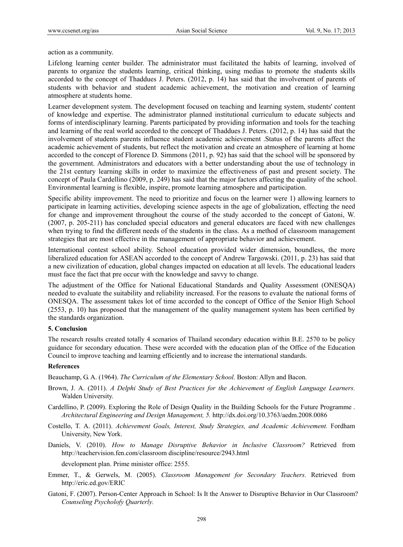action as a community.

Lifelong learning center builder. The administrator must facilitated the habits of learning, involved of parents to organize the students learning, critical thinking, using medias to promote the students skills accorded to the concept of Thaddues J. Peters. (2012, p. 14) has said that the involvement of parents of students with behavior and student academic achievement, the motivation and creation of learning atmosphere at students home.

Learner development system. The development focused on teaching and learning system, students' content of knowledge and expertise. The administrator planned institutional curriculum to educate subjects and forms of interdisciplinary learning. Parents participated by providing information and tools for the teaching and learning of the real world accorded to the concept of Thaddues J. Peters. (2012, p. 14) has said that the involvement of students parents influence student academic achievement .Status of the parents affect the academic achievement of students, but reflect the motivation and create an atmosphere of learning at home accorded to the concept of Florence D. Simmons (2011, p. 92) has said that the school will be sponsored by the government. Administrators and educators with a better understanding about the use of technology in the 21st century learning skills in order to maximize the effectiveness of past and present society. The concept of Paula Cardellino (2009, p. 249) has said that the major factors affecting the quality of the school. Environmental learning is flexible, inspire, promote learning atmosphere and participation.

Specific ability improvement. The need to prioritize and focus on the learner were 1) allowing learners to participate in learning activities, developing science aspects in the age of globalization, effecting the need for change and improvement throughout the course of the study accorded to the concept of Gatoni, W. (2007, p. 205-211) has concluded special educators and general educators are faced with new challenges when trying to find the different needs of the students in the class. As a method of classroom management strategies that are most effective in the management of appropriate behavior and achievement.

International contest school ability. School education provided wider dimension, boundless, the more liberalized education for ASEAN accorded to the concept of Andrew Targowski. (2011, p. 23) has said that a new civilization of education, global changes impacted on education at all levels. The educational leaders must face the fact that pre occur with the knowledge and savvy to change.

The adjustment of the Office for National Educational Standards and Quality Assessment (ONESQA) needed to evaluate the suitability and reliability increased. For the reasons to evaluate the national forms of ONESQA. The assessment takes lot of time accorded to the concept of Office of the Senior High School (2553, p. 10) has proposed that the management of the quality management system has been certified by the standards organization.

#### **5. Conclusion**

The research results created totally 4 scenarios of Thailand secondary education within B.E. 2570 to be policy guidance for secondary education. These were accorded with the education plan of the Office of the Education Council to improve teaching and learning efficiently and to increase the international standards.

#### **References**

Beauchamp, G. A. (1964). *The Curriculum of the Elementary School.* Boston: Allyn and Bacon.

- Brown, J. A. (2011). *A Delphi Study of Best Practices for the Achievement of English Language Learners.*  Walden University.
- Cardellino, P. (2009). Exploring the Role of Design Quality in the Building Schools for the Future Programme . *Architectural Engineering and Design Management, 5.* http://dx.doi.org/10.3763/aedm.2008.0086
- Costello, T. A. (2011). *Achievement Goals, Interest, Study Strategies, and Academic Achievement.* Fordham University, New York.
- Daniels, V. (2010). *How to Manage Disruptive Behavior in Inclusive Classroom?* Retrieved from http://teachervision.fen.com/classroom discipline/resource/2943.html

development plan. Prime minister office: 2555.

- Emmer, T., & Gerwels, M. (2005). *Classroom Management for Secondary Teachers.* Retrieved from http://eric.ed.gov/ERIC
- Gatoni, F. (2007). Person-Center Approach in School: Is It the Answer to Disruptive Behavior in Our Classroom? *Counseling Psycholofy Quarterly.*